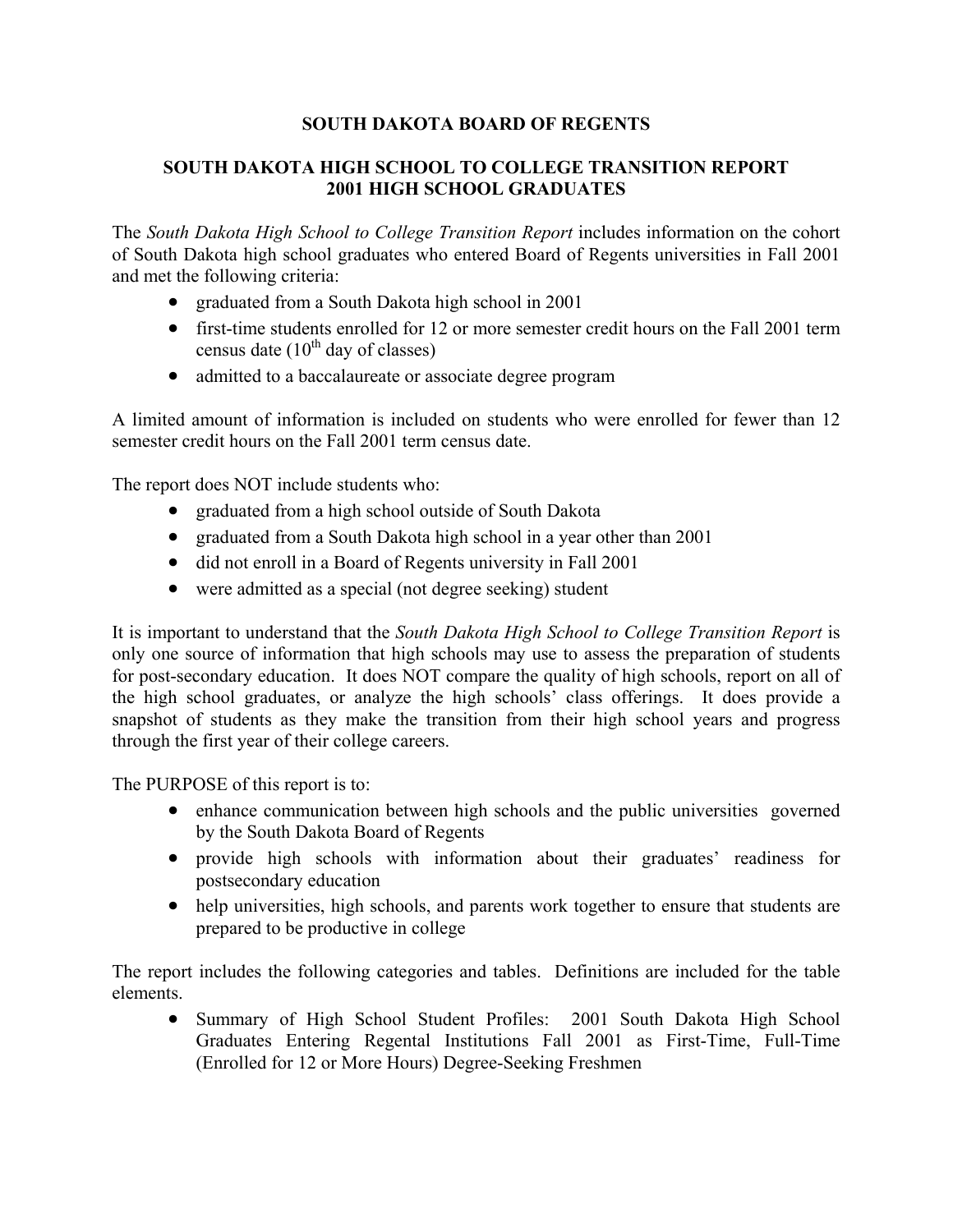# **SOUTH DAKOTA BOARD OF REGENTS**

# **SOUTH DAKOTA HIGH SCHOOL TO COLLEGE TRANSITION REPORT 2001 HIGH SCHOOL GRADUATES**

The *South Dakota High School to College Transition Report* includes information on the cohort of South Dakota high school graduates who entered Board of Regents universities in Fall 2001 and met the following criteria:

- graduated from a South Dakota high school in 2001
- first-time students enrolled for 12 or more semester credit hours on the Fall 2001 term census date  $(10^{th}$  day of classes)
- admitted to a baccalaureate or associate degree program

A limited amount of information is included on students who were enrolled for fewer than 12 semester credit hours on the Fall 2001 term census date.

The report does NOT include students who:

- graduated from a high school outside of South Dakota
- graduated from a South Dakota high school in a year other than 2001
- did not enroll in a Board of Regents university in Fall 2001
- were admitted as a special (not degree seeking) student

It is important to understand that the *South Dakota High School to College Transition Report* is only one source of information that high schools may use to assess the preparation of students for post-secondary education. It does NOT compare the quality of high schools, report on all of the high school graduates, or analyze the high schools' class offerings. It does provide a snapshot of students as they make the transition from their high school years and progress through the first year of their college careers.

The PURPOSE of this report is to:

- enhance communication between high schools and the public universities governed by the South Dakota Board of Regents
- provide high schools with information about their graduates' readiness for postsecondary education
- help universities, high schools, and parents work together to ensure that students are prepared to be productive in college

The report includes the following categories and tables. Definitions are included for the table elements.

• Summary of High School Student Profiles: 2001 South Dakota High School Graduates Entering Regental Institutions Fall 2001 as First-Time, Full-Time (Enrolled for 12 or More Hours) Degree-Seeking Freshmen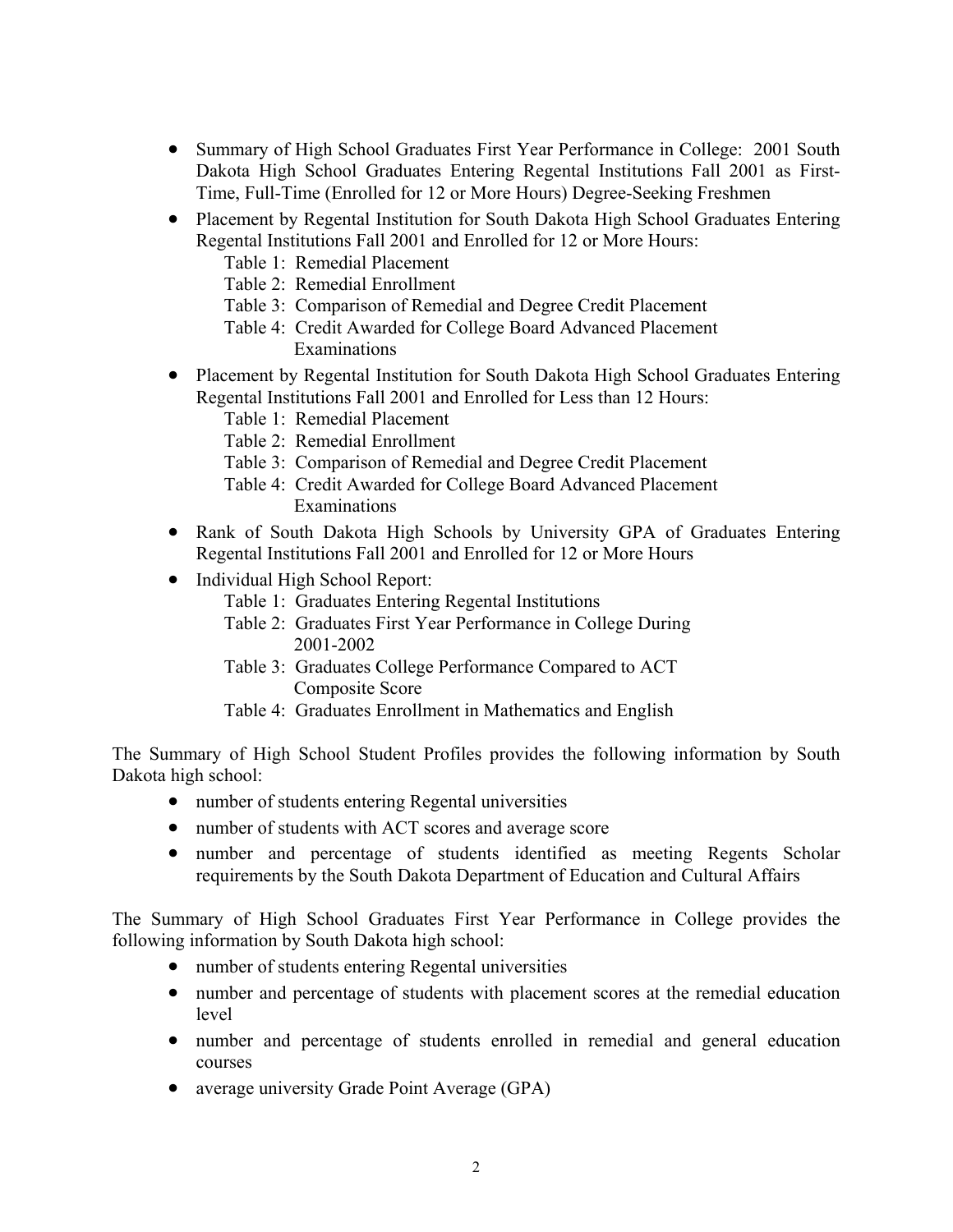- Summary of High School Graduates First Year Performance in College: 2001 South Dakota High School Graduates Entering Regental Institutions Fall 2001 as First-Time, Full-Time (Enrolled for 12 or More Hours) Degree-Seeking Freshmen
- Placement by Regental Institution for South Dakota High School Graduates Entering Regental Institutions Fall 2001 and Enrolled for 12 or More Hours:
	- Table 1: Remedial Placement
	- Table 2: Remedial Enrollment
	- Table 3: Comparison of Remedial and Degree Credit Placement
	- Table 4: Credit Awarded for College Board Advanced Placement Examinations
- Placement by Regental Institution for South Dakota High School Graduates Entering Regental Institutions Fall 2001 and Enrolled for Less than 12 Hours:
	- Table 1: Remedial Placement
	- Table 2: Remedial Enrollment
	- Table 3: Comparison of Remedial and Degree Credit Placement
	- Table 4: Credit Awarded for College Board Advanced Placement Examinations
- Rank of South Dakota High Schools by University GPA of Graduates Entering Regental Institutions Fall 2001 and Enrolled for 12 or More Hours
- Individual High School Report:
	- Table 1: Graduates Entering Regental Institutions
	- Table 2: Graduates First Year Performance in College During 2001-2002
	- Table 3: Graduates College Performance Compared to ACT Composite Score
	- Table 4: Graduates Enrollment in Mathematics and English

The Summary of High School Student Profiles provides the following information by South Dakota high school:

- number of students entering Regental universities
- number of students with ACT scores and average score
- number and percentage of students identified as meeting Regents Scholar requirements by the South Dakota Department of Education and Cultural Affairs

The Summary of High School Graduates First Year Performance in College provides the following information by South Dakota high school:

- number of students entering Regental universities
- number and percentage of students with placement scores at the remedial education level
- number and percentage of students enrolled in remedial and general education courses
- average university Grade Point Average (GPA)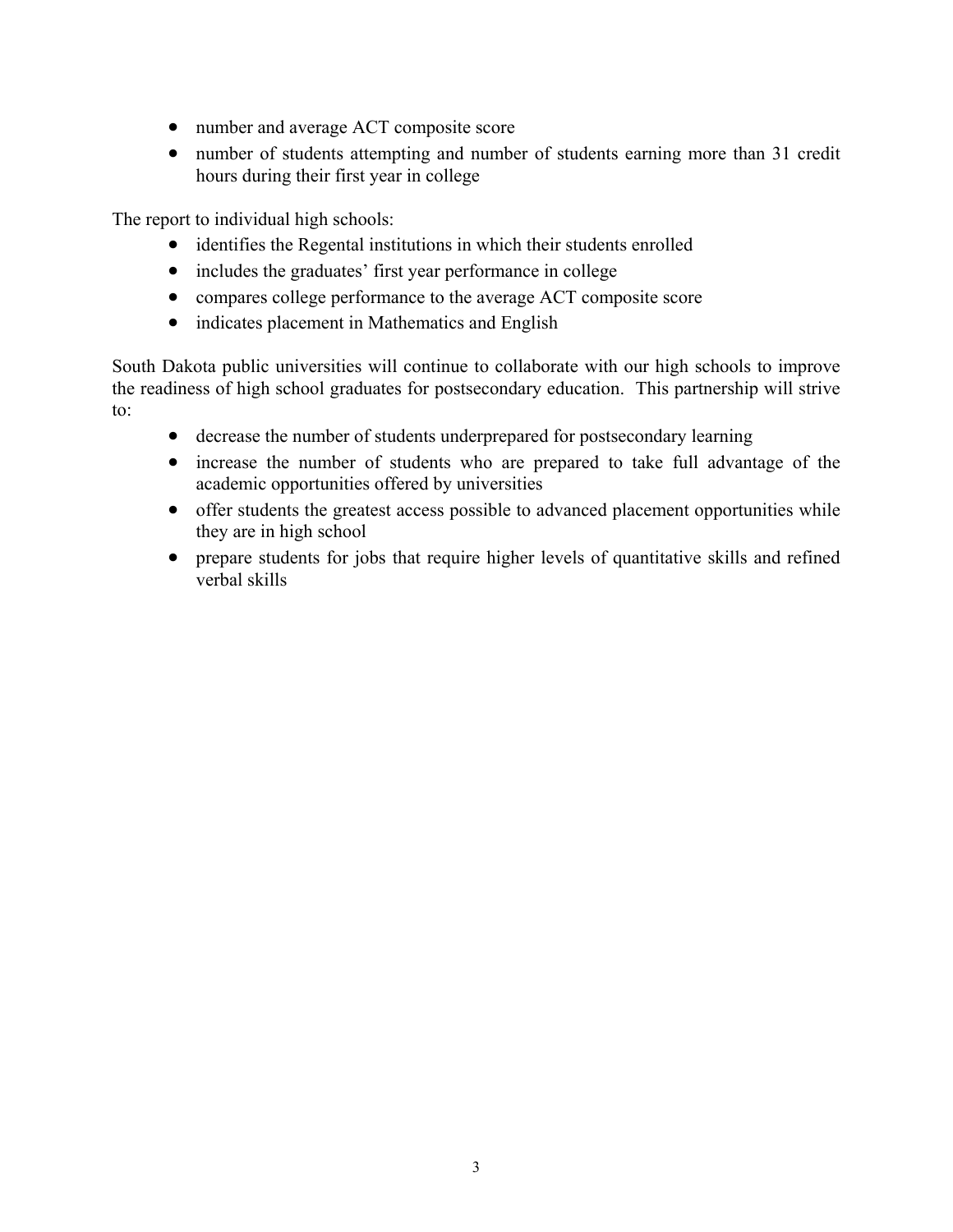- number and average ACT composite score
- number of students attempting and number of students earning more than 31 credit hours during their first year in college

The report to individual high schools:

- identifies the Regental institutions in which their students enrolled
- includes the graduates' first year performance in college
- compares college performance to the average ACT composite score
- indicates placement in Mathematics and English

South Dakota public universities will continue to collaborate with our high schools to improve the readiness of high school graduates for postsecondary education. This partnership will strive to:

- decrease the number of students underprepared for postsecondary learning
- increase the number of students who are prepared to take full advantage of the academic opportunities offered by universities
- offer students the greatest access possible to advanced placement opportunities while they are in high school
- prepare students for jobs that require higher levels of quantitative skills and refined verbal skills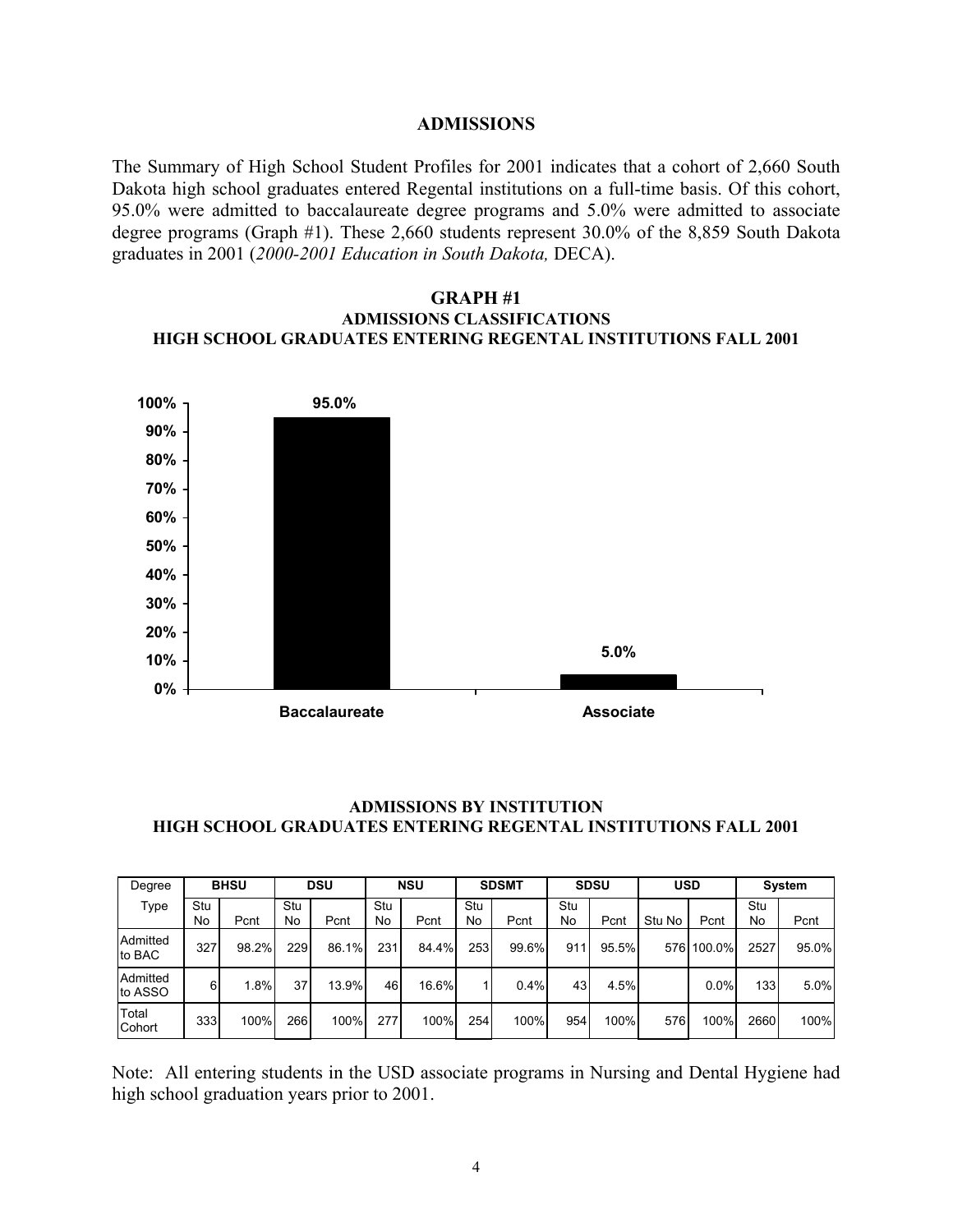#### **ADMISSIONS**

The Summary of High School Student Profiles for 2001 indicates that a cohort of 2,660 South Dakota high school graduates entered Regental institutions on a full-time basis. Of this cohort, 95.0% were admitted to baccalaureate degree programs and 5.0% were admitted to associate degree programs (Graph #1). These 2,660 students represent 30.0% of the 8,859 South Dakota graduates in 2001 (*2000-2001 Education in South Dakota,* DECA).

#### **GRAPH #1 ADMISSIONS CLASSIFICATIONS HIGH SCHOOL GRADUATES ENTERING REGENTAL INSTITUTIONS FALL 2001**



## **ADMISSIONS BY INSTITUTION HIGH SCHOOL GRADUATES ENTERING REGENTAL INSTITUTIONS FALL 2001**

| Degree              | <b>BHSU</b> |       | <b>DSU</b>      |       | <b>NSU</b> |       | <b>SDSMT</b> |       | <b>SDSU</b> |       | <b>USD</b> |            | <b>System</b> |       |
|---------------------|-------------|-------|-----------------|-------|------------|-------|--------------|-------|-------------|-------|------------|------------|---------------|-------|
| Type                | Stu<br>No   | Pcnt  | Stu<br>No       | Pcnt  | Stu<br>No  | Pcnt  | Stu<br>No    | Pcnt  | Stu<br>No   | Pcnt  | Stu No     | Pcnt       | Stu<br>No     | Pcnt  |
| Admitted<br>to BAC  | 327         | 98.2% | 229             | 86.1% | 231        | 84.4% | 253          | 99.6% | 911         | 95.5% |            | 576 100.0% | 2527          | 95.0% |
| Admitted<br>to ASSO | 6           | 1.8%  | 37 <sub>1</sub> | 13.9% | 46         | 16.6% |              | 0.4%  | 43          | 4.5%  |            | $0.0\%$    | 1331          | 5.0%  |
| Total<br>Cohort     | 333         | 100%  | 266             | 100%  | 277        | 100%  | 254          | 100%  | 954         | 100%  | 576        | 100%       | 2660          | 100%  |

Note: All entering students in the USD associate programs in Nursing and Dental Hygiene had high school graduation years prior to 2001.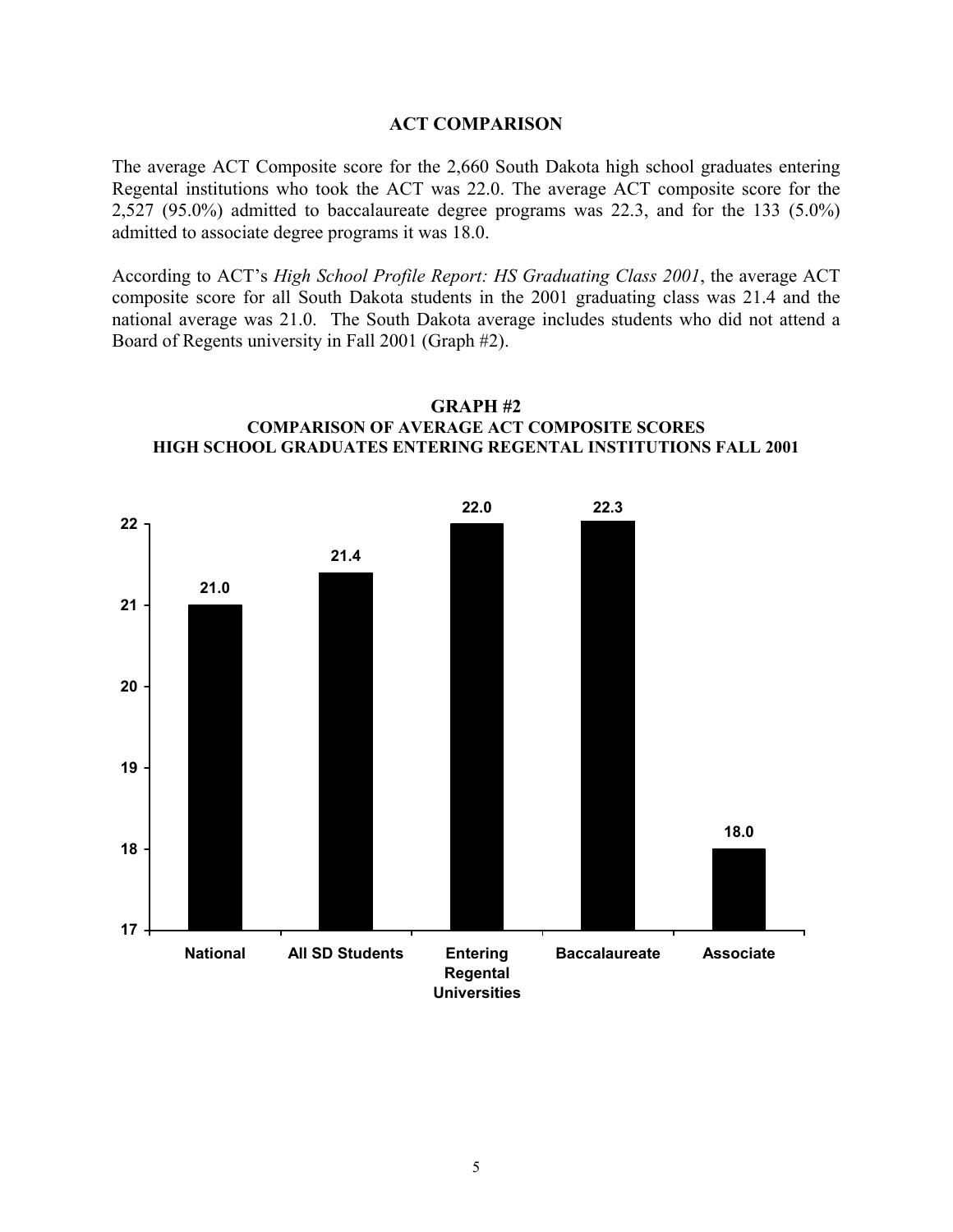#### **ACT COMPARISON**

The average ACT Composite score for the 2,660 South Dakota high school graduates entering Regental institutions who took the ACT was 22.0. The average ACT composite score for the 2,527 (95.0%) admitted to baccalaureate degree programs was 22.3, and for the 133 (5.0%) admitted to associate degree programs it was 18.0.

According to ACT's *High School Profile Report: HS Graduating Class 2001*, the average ACT composite score for all South Dakota students in the 2001 graduating class was 21.4 and the national average was 21.0. The South Dakota average includes students who did not attend a Board of Regents university in Fall 2001 (Graph #2).



#### **GRAPH #2 COMPARISON OF AVERAGE ACT COMPOSITE SCORES HIGH SCHOOL GRADUATES ENTERING REGENTAL INSTITUTIONS FALL 2001**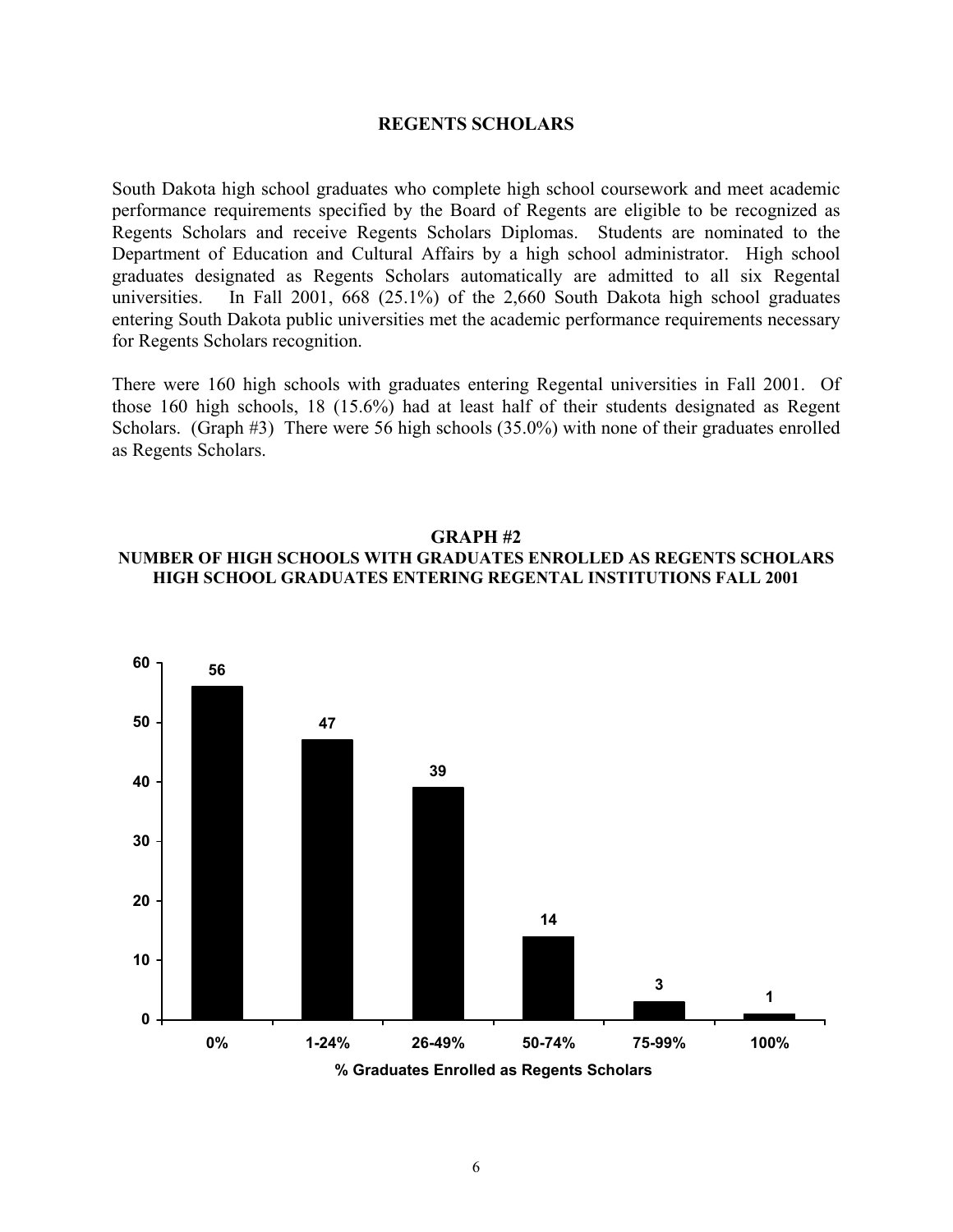#### **REGENTS SCHOLARS**

South Dakota high school graduates who complete high school coursework and meet academic performance requirements specified by the Board of Regents are eligible to be recognized as Regents Scholars and receive Regents Scholars Diplomas. Students are nominated to the Department of Education and Cultural Affairs by a high school administrator. High school graduates designated as Regents Scholars automatically are admitted to all six Regental universities. In Fall 2001, 668 (25.1%) of the 2,660 South Dakota high school graduates entering South Dakota public universities met the academic performance requirements necessary for Regents Scholars recognition.

There were 160 high schools with graduates entering Regental universities in Fall 2001. Of those 160 high schools, 18 (15.6%) had at least half of their students designated as Regent Scholars. (Graph #3) There were 56 high schools (35.0%) with none of their graduates enrolled as Regents Scholars.

### **GRAPH #2 NUMBER OF HIGH SCHOOLS WITH GRADUATES ENROLLED AS REGENTS SCHOLARS HIGH SCHOOL GRADUATES ENTERING REGENTAL INSTITUTIONS FALL 2001**

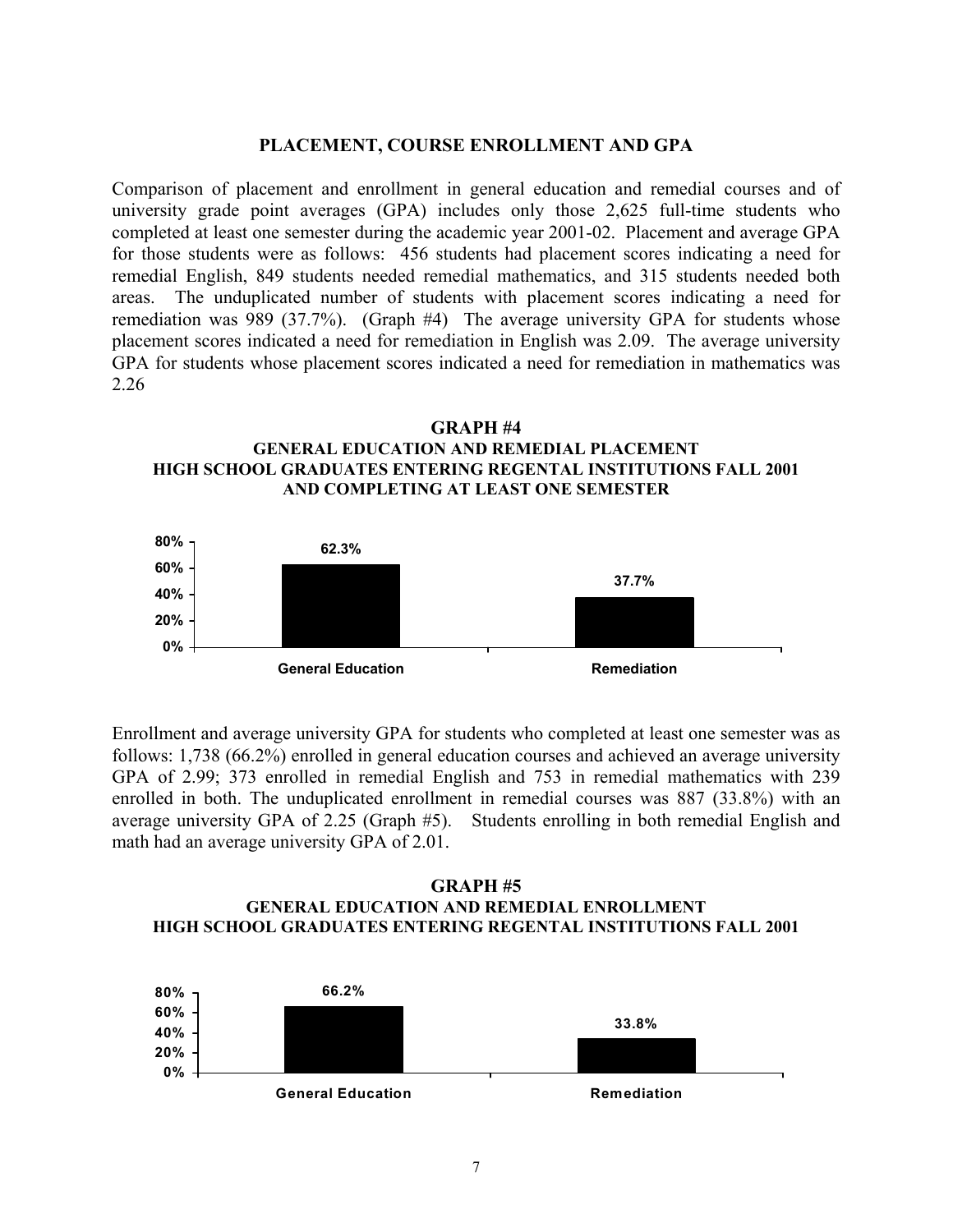## **PLACEMENT, COURSE ENROLLMENT AND GPA**

Comparison of placement and enrollment in general education and remedial courses and of university grade point averages (GPA) includes only those 2,625 full-time students who completed at least one semester during the academic year 2001-02. Placement and average GPA for those students were as follows: 456 students had placement scores indicating a need for remedial English, 849 students needed remedial mathematics, and 315 students needed both areas. The unduplicated number of students with placement scores indicating a need for remediation was 989 (37.7%). (Graph #4) The average university GPA for students whose placement scores indicated a need for remediation in English was 2.09. The average university GPA for students whose placement scores indicated a need for remediation in mathematics was 2.26





Enrollment and average university GPA for students who completed at least one semester was as follows: 1,738 (66.2%) enrolled in general education courses and achieved an average university GPA of 2.99; 373 enrolled in remedial English and 753 in remedial mathematics with 239 enrolled in both. The unduplicated enrollment in remedial courses was 887 (33.8%) with an average university GPA of 2.25 (Graph #5). Students enrolling in both remedial English and math had an average university GPA of 2.01.

### **GRAPH #5 GENERAL EDUCATION AND REMEDIAL ENROLLMENT HIGH SCHOOL GRADUATES ENTERING REGENTAL INSTITUTIONS FALL 2001**

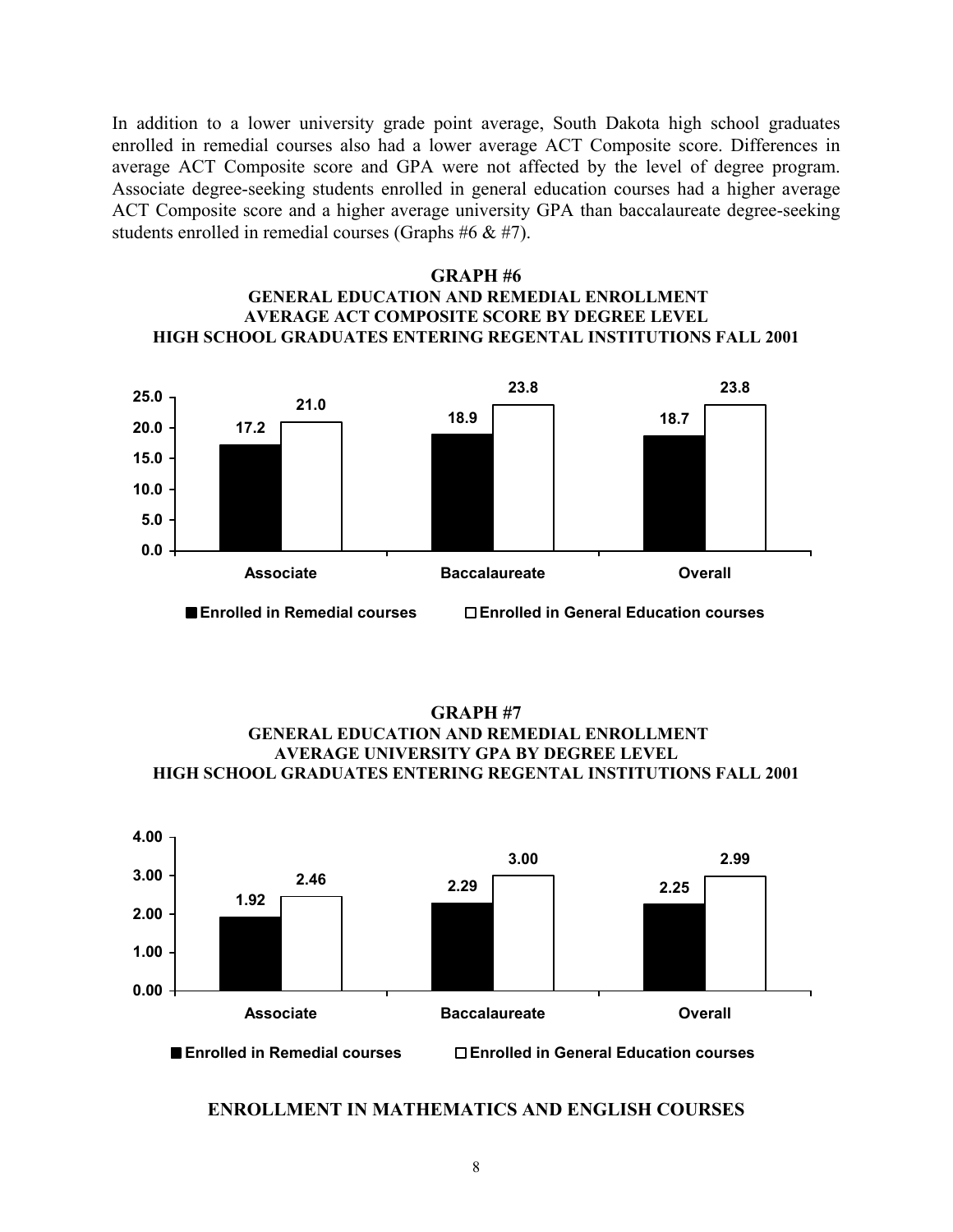In addition to a lower university grade point average, South Dakota high school graduates enrolled in remedial courses also had a lower average ACT Composite score. Differences in average ACT Composite score and GPA were not affected by the level of degree program. Associate degree-seeking students enrolled in general education courses had a higher average ACT Composite score and a higher average university GPA than baccalaureate degree-seeking students enrolled in remedial courses (Graphs #6 & #7).

### **GRAPH #6 GENERAL EDUCATION AND REMEDIAL ENROLLMENT AVERAGE ACT COMPOSITE SCORE BY DEGREE LEVEL HIGH SCHOOL GRADUATES ENTERING REGENTAL INSTITUTIONS FALL 2001**



**GRAPH #7 GENERAL EDUCATION AND REMEDIAL ENROLLMENT AVERAGE UNIVERSITY GPA BY DEGREE LEVEL HIGH SCHOOL GRADUATES ENTERING REGENTAL INSTITUTIONS FALL 2001**



#### **ENROLLMENT IN MATHEMATICS AND ENGLISH COURSES**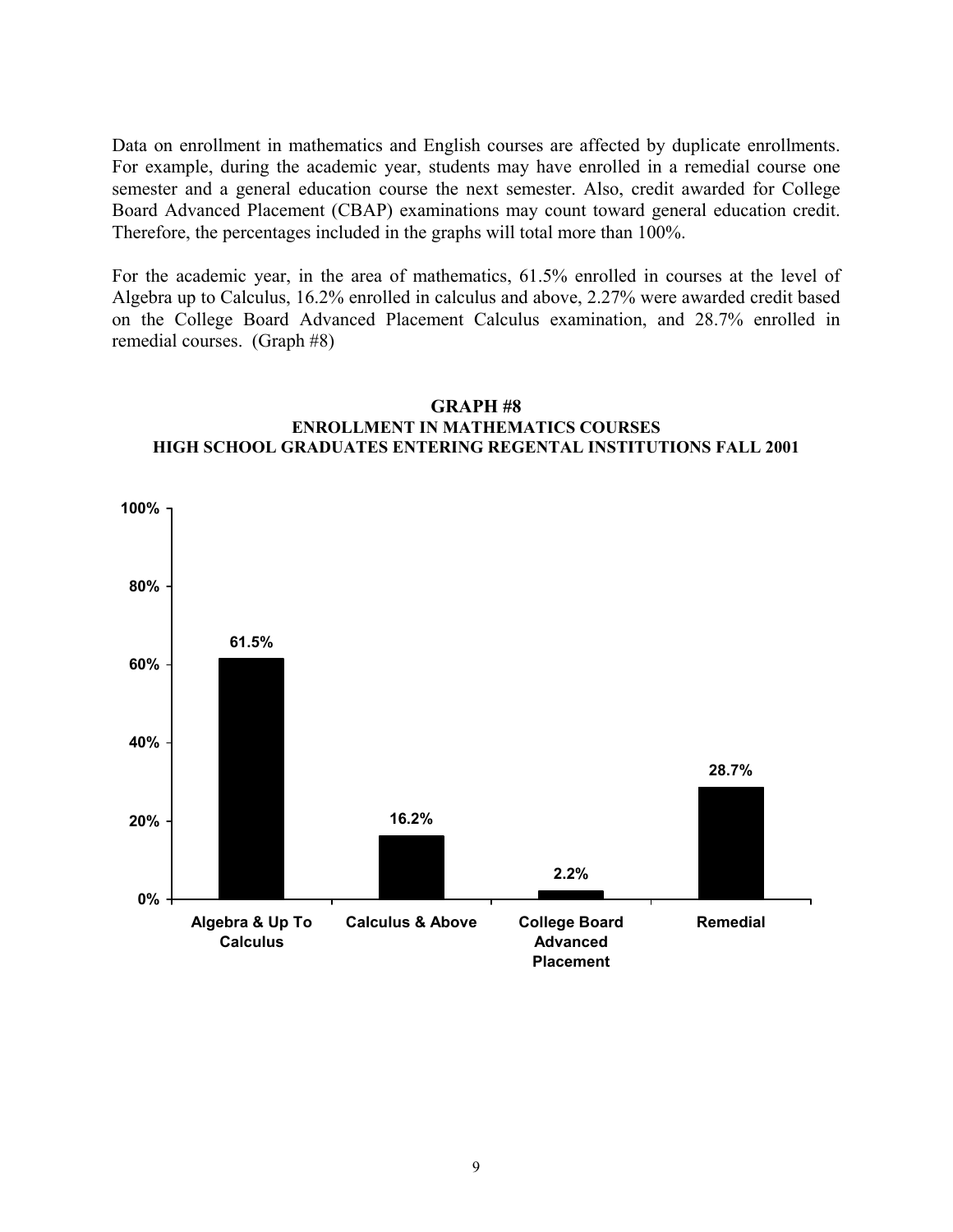Data on enrollment in mathematics and English courses are affected by duplicate enrollments. For example, during the academic year, students may have enrolled in a remedial course one semester and a general education course the next semester. Also, credit awarded for College Board Advanced Placement (CBAP) examinations may count toward general education credit. Therefore, the percentages included in the graphs will total more than 100%.

For the academic year, in the area of mathematics, 61.5% enrolled in courses at the level of Algebra up to Calculus, 16.2% enrolled in calculus and above, 2.27% were awarded credit based on the College Board Advanced Placement Calculus examination, and 28.7% enrolled in remedial courses. (Graph #8)



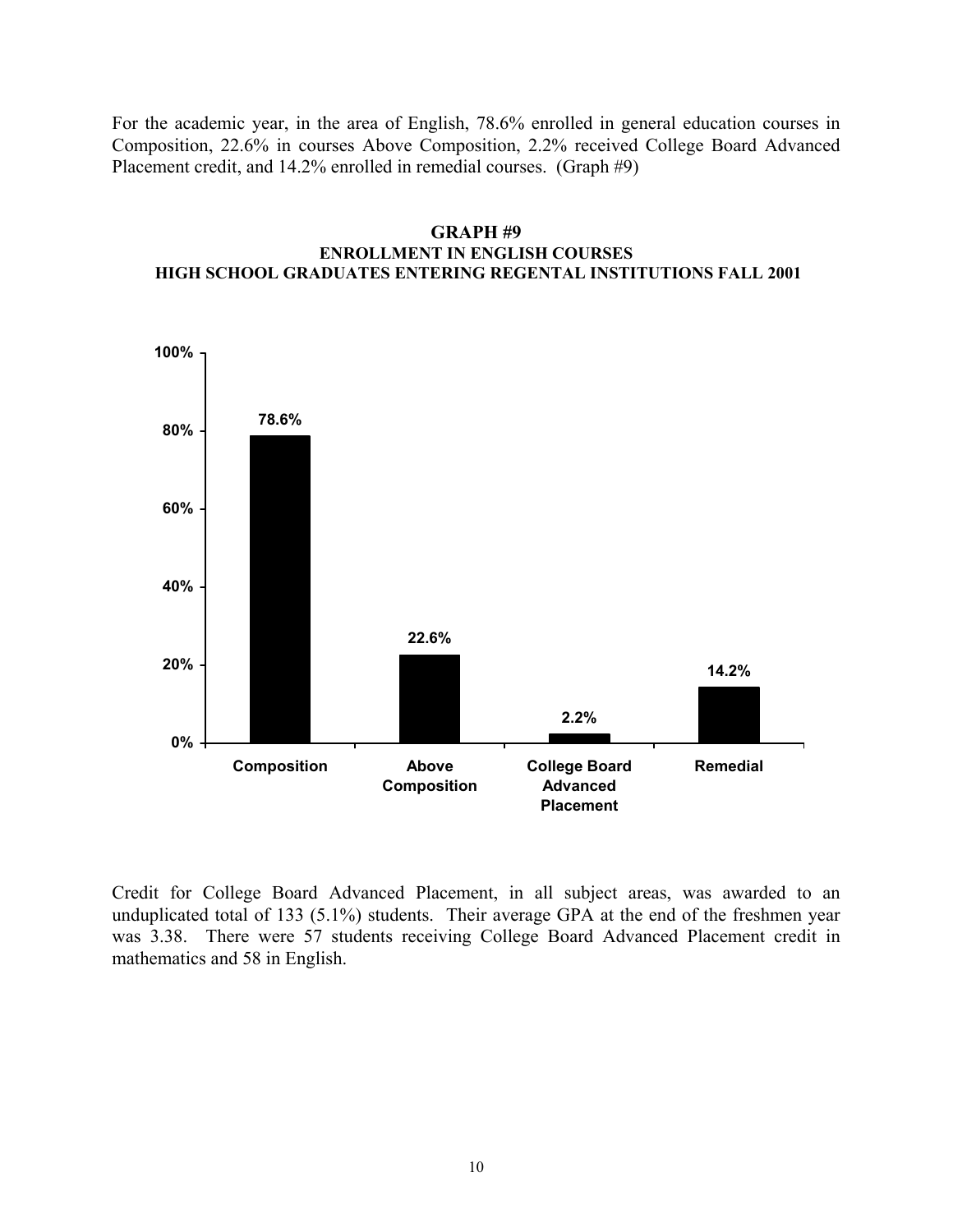For the academic year, in the area of English, 78.6% enrolled in general education courses in Composition, 22.6% in courses Above Composition, 2.2% received College Board Advanced Placement credit, and 14.2% enrolled in remedial courses. (Graph #9)





Credit for College Board Advanced Placement, in all subject areas, was awarded to an unduplicated total of 133 (5.1%) students. Their average GPA at the end of the freshmen year was 3.38. There were 57 students receiving College Board Advanced Placement credit in mathematics and 58 in English.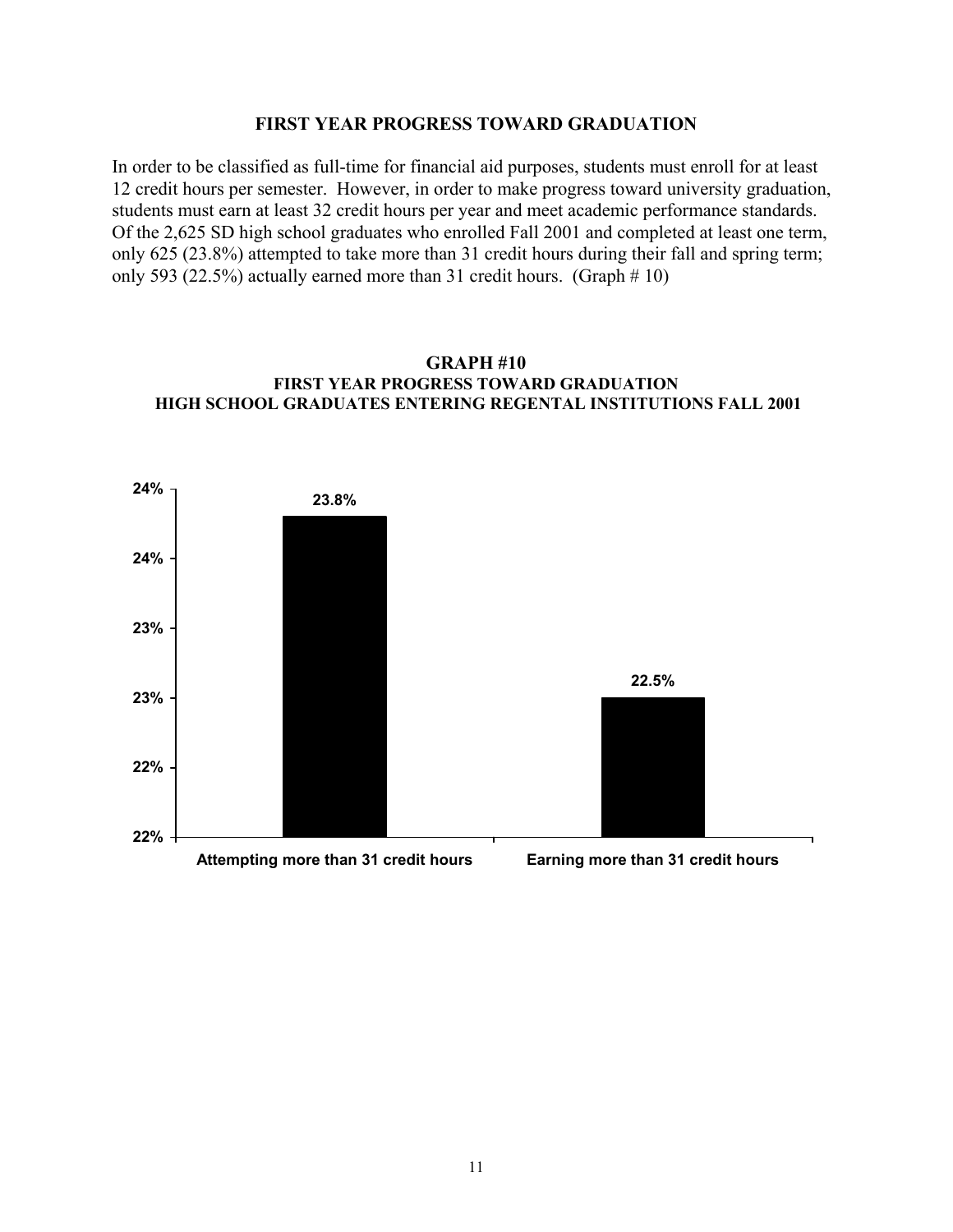#### **FIRST YEAR PROGRESS TOWARD GRADUATION**

In order to be classified as full-time for financial aid purposes, students must enroll for at least 12 credit hours per semester. However, in order to make progress toward university graduation, students must earn at least 32 credit hours per year and meet academic performance standards. Of the 2,625 SD high school graduates who enrolled Fall 2001 and completed at least one term, only 625 (23.8%) attempted to take more than 31 credit hours during their fall and spring term; only 593 (22.5%) actually earned more than 31 credit hours. (Graph  $\# 10$ )



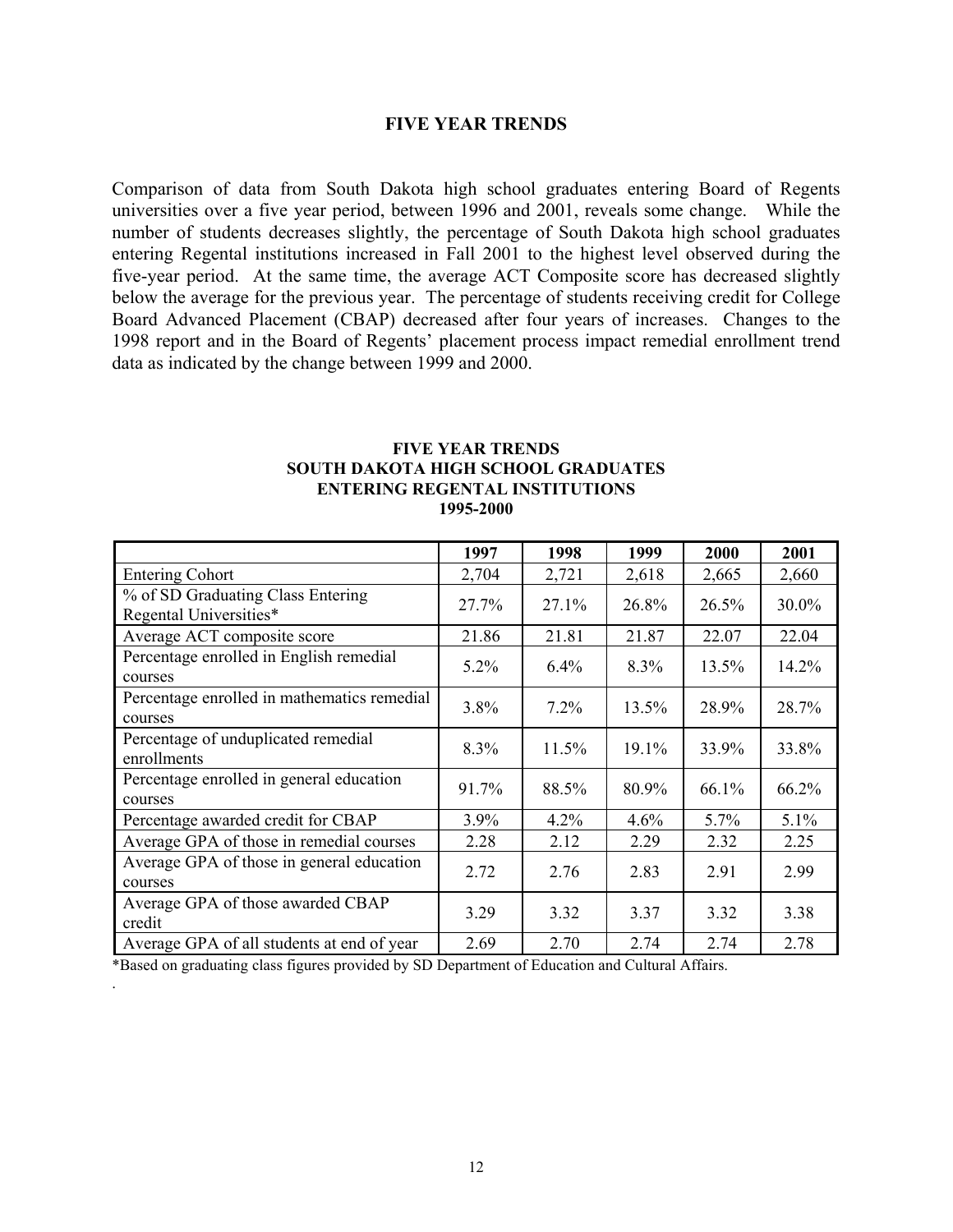## **FIVE YEAR TRENDS**

Comparison of data from South Dakota high school graduates entering Board of Regents universities over a five year period, between 1996 and 2001, reveals some change. While the number of students decreases slightly, the percentage of South Dakota high school graduates entering Regental institutions increased in Fall 2001 to the highest level observed during the five-year period. At the same time, the average ACT Composite score has decreased slightly below the average for the previous year. The percentage of students receiving credit for College Board Advanced Placement (CBAP) decreased after four years of increases. Changes to the 1998 report and in the Board of Regents' placement process impact remedial enrollment trend data as indicated by the change between 1999 and 2000.

#### **FIVE YEAR TRENDS SOUTH DAKOTA HIGH SCHOOL GRADUATES ENTERING REGENTAL INSTITUTIONS 1995-2000**

|                                                             | 1997    | 1998     | 1999    | 2000  | 2001     |
|-------------------------------------------------------------|---------|----------|---------|-------|----------|
| <b>Entering Cohort</b>                                      | 2,704   | 2,721    | 2,618   | 2,665 | 2,660    |
| % of SD Graduating Class Entering<br>Regental Universities* | 27.7%   | 27.1%    | 26.8%   | 26.5% | 30.0%    |
| Average ACT composite score                                 | 21.86   | 21.81    | 21.87   | 22.07 | 22.04    |
| Percentage enrolled in English remedial<br>courses          | $5.2\%$ | $6.4\%$  | $8.3\%$ | 13.5% | 14.2%    |
| Percentage enrolled in mathematics remedial<br>courses      | 3.8%    | 7.2%     | 13.5%   | 28.9% | 28.7%    |
| Percentage of unduplicated remedial<br>enrollments          | 8.3%    | $11.5\%$ | 19.1%   | 33.9% | 33.8%    |
| Percentage enrolled in general education<br>courses         | 91.7%   | 88.5%    | 80.9%   | 66.1% | $66.2\%$ |
| Percentage awarded credit for CBAP                          | $3.9\%$ | 4.2%     | 4.6%    | 5.7%  | 5.1%     |
| Average GPA of those in remedial courses                    | 2.28    | 2.12     | 2.29    | 2.32  | 2.25     |
| Average GPA of those in general education<br>courses        | 2.72    | 2.76     | 2.83    | 2.91  | 2.99     |
| Average GPA of those awarded CBAP<br>credit                 | 3.29    | 3.32     | 3.37    | 3.32  | 3.38     |
| Average GPA of all students at end of year                  | 2.69    | 2.70     | 2.74    | 2.74  | 2.78     |

\*Based on graduating class figures provided by SD Department of Education and Cultural Affairs.

.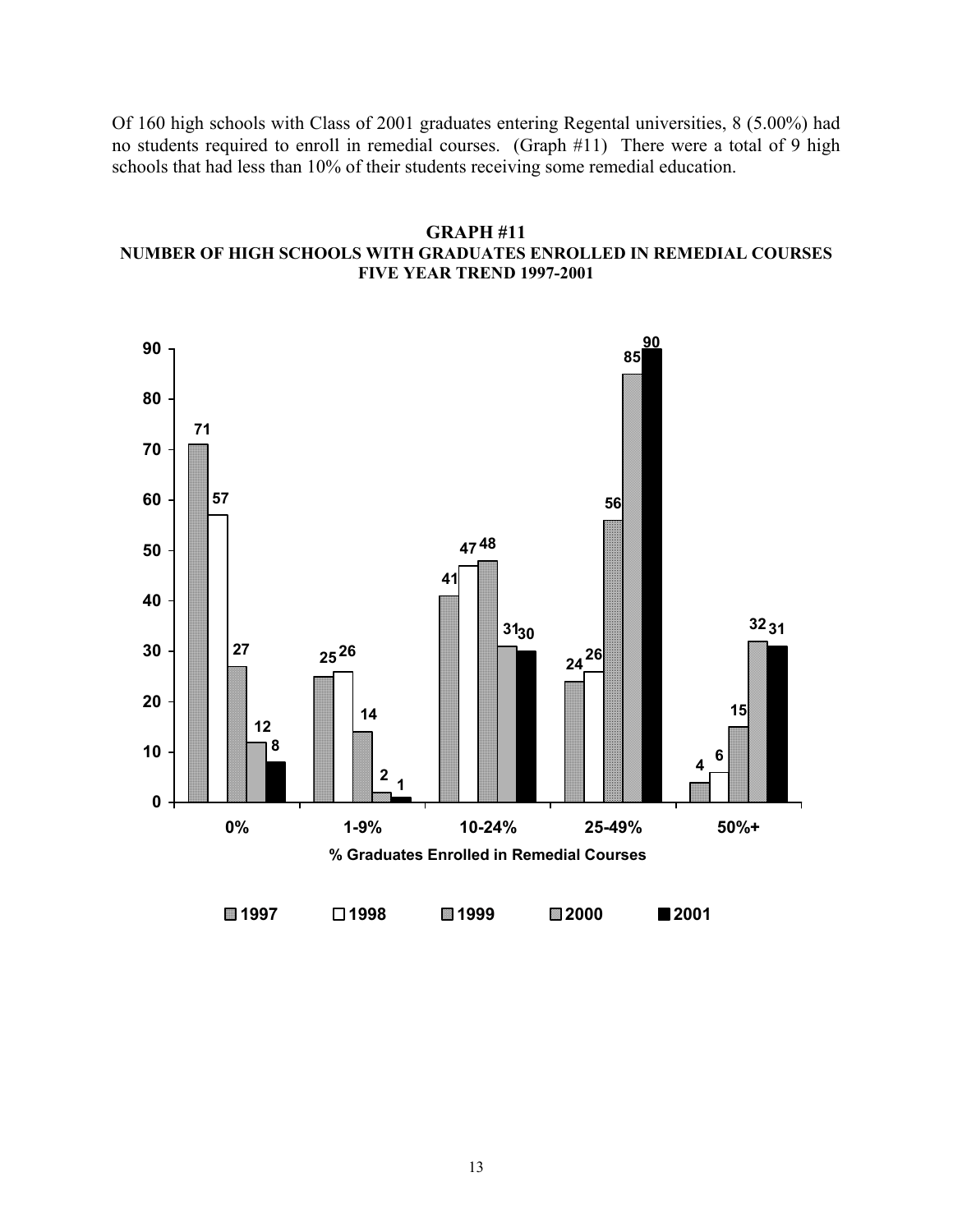Of 160 high schools with Class of 2001 graduates entering Regental universities, 8 (5.00%) had no students required to enroll in remedial courses. (Graph #11) There were a total of 9 high schools that had less than 10% of their students receiving some remedial education.

# **GRAPH #11 NUMBER OF HIGH SCHOOLS WITH GRADUATES ENROLLED IN REMEDIAL COURSES FIVE YEAR TREND 1997-2001**

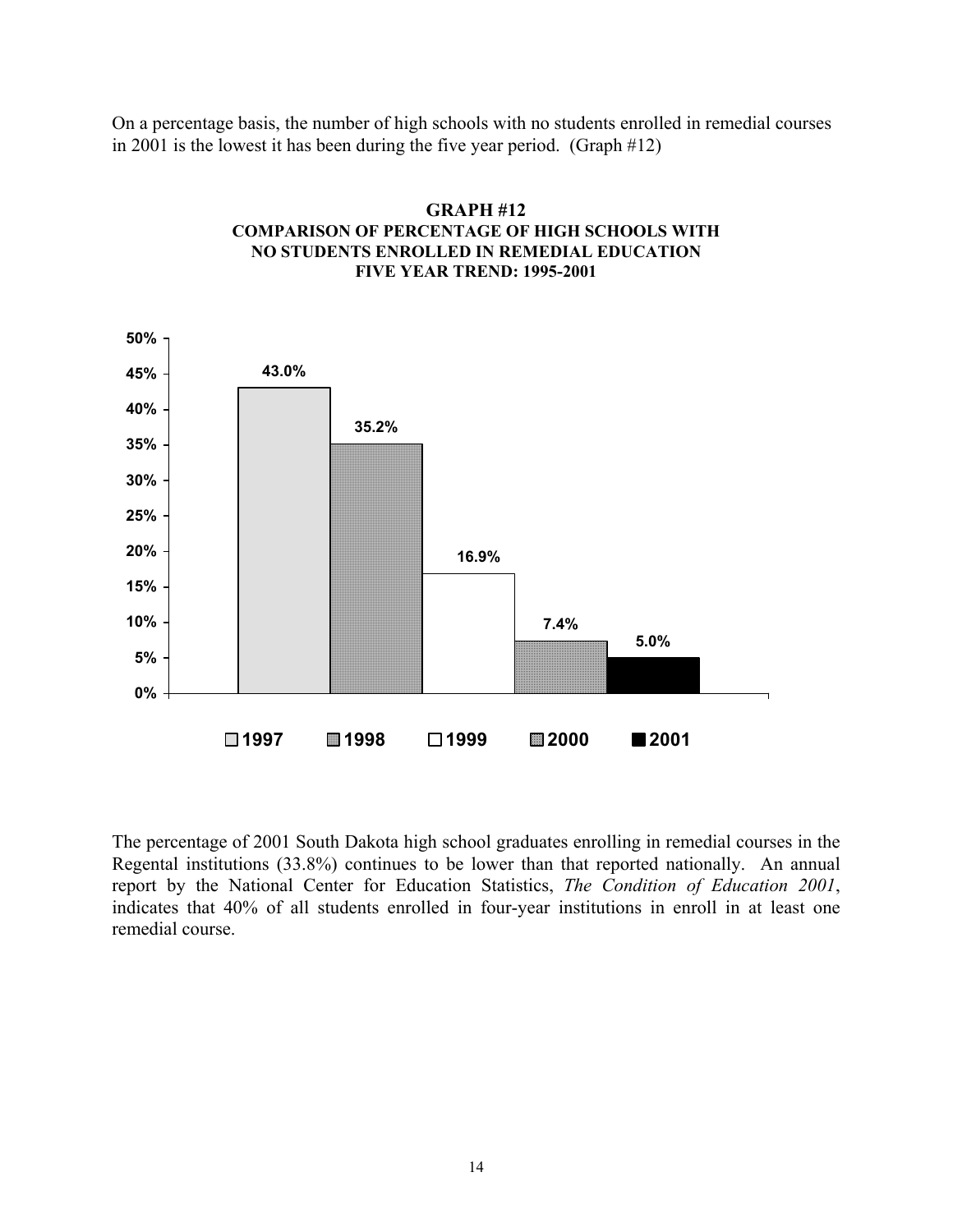On a percentage basis, the number of high schools with no students enrolled in remedial courses in 2001 is the lowest it has been during the five year period. (Graph #12)



# **GRAPH #12 COMPARISON OF PERCENTAGE OF HIGH SCHOOLS WITH NO STUDENTS ENROLLED IN REMEDIAL EDUCATION FIVE YEAR TREND: 1995-2001**

The percentage of 2001 South Dakota high school graduates enrolling in remedial courses in the Regental institutions (33.8%) continues to be lower than that reported nationally. An annual report by the National Center for Education Statistics, *The Condition of Education 2001*, indicates that 40% of all students enrolled in four-year institutions in enroll in at least one remedial course.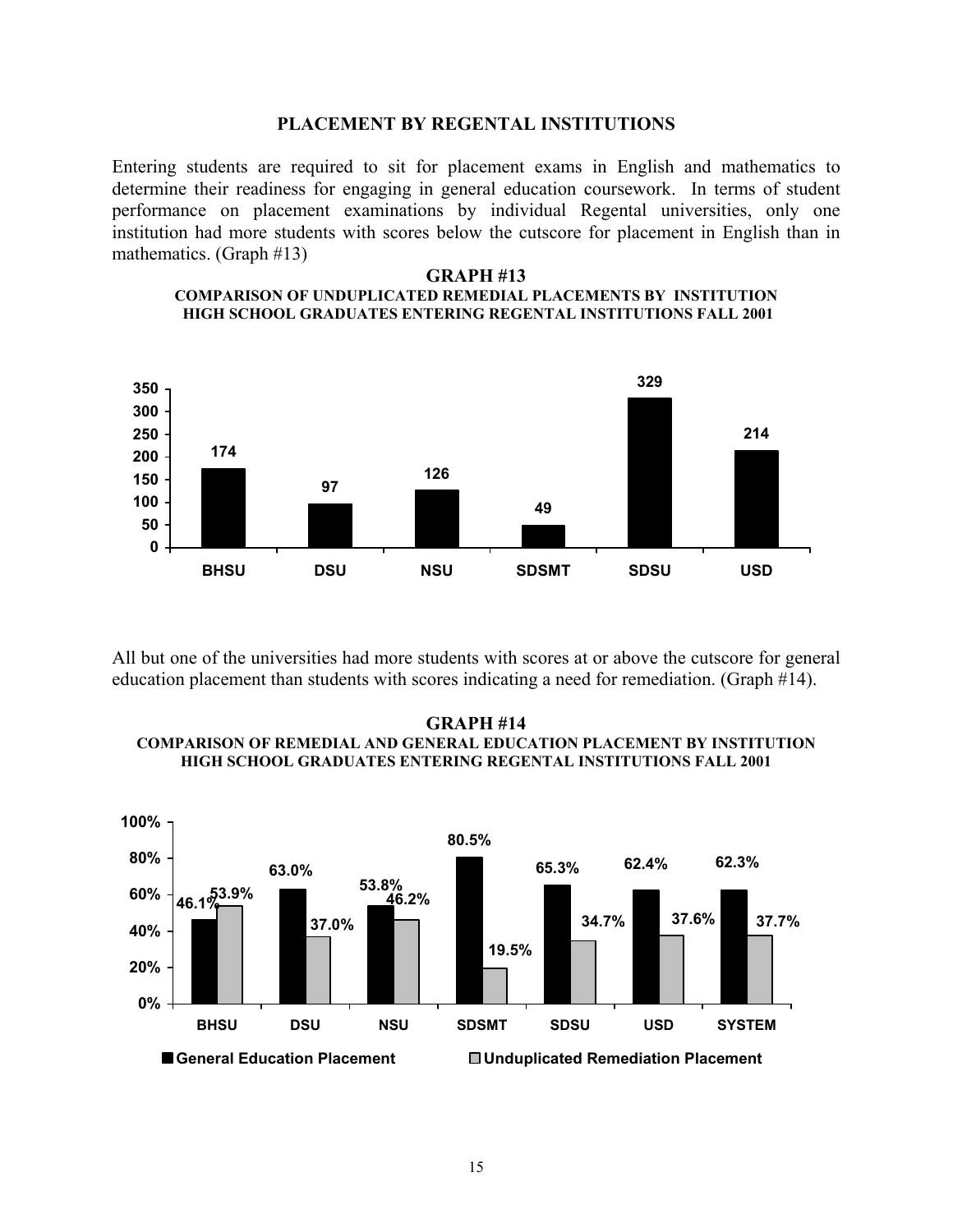#### **PLACEMENT BY REGENTAL INSTITUTIONS**

Entering students are required to sit for placement exams in English and mathematics to determine their readiness for engaging in general education coursework. In terms of student performance on placement examinations by individual Regental universities, only one institution had more students with scores below the cutscore for placement in English than in mathematics. (Graph #13)

#### **GRAPH #13 COMPARISON OF UNDUPLICATED REMEDIAL PLACEMENTS BY INSTITUTION HIGH SCHOOL GRADUATES ENTERING REGENTAL INSTITUTIONS FALL 2001**



All but one of the universities had more students with scores at or above the cutscore for general education placement than students with scores indicating a need for remediation. (Graph #14).

#### **GRAPH #14 COMPARISON OF REMEDIAL AND GENERAL EDUCATION PLACEMENT BY INSTITUTION HIGH SCHOOL GRADUATES ENTERING REGENTAL INSTITUTIONS FALL 2001**

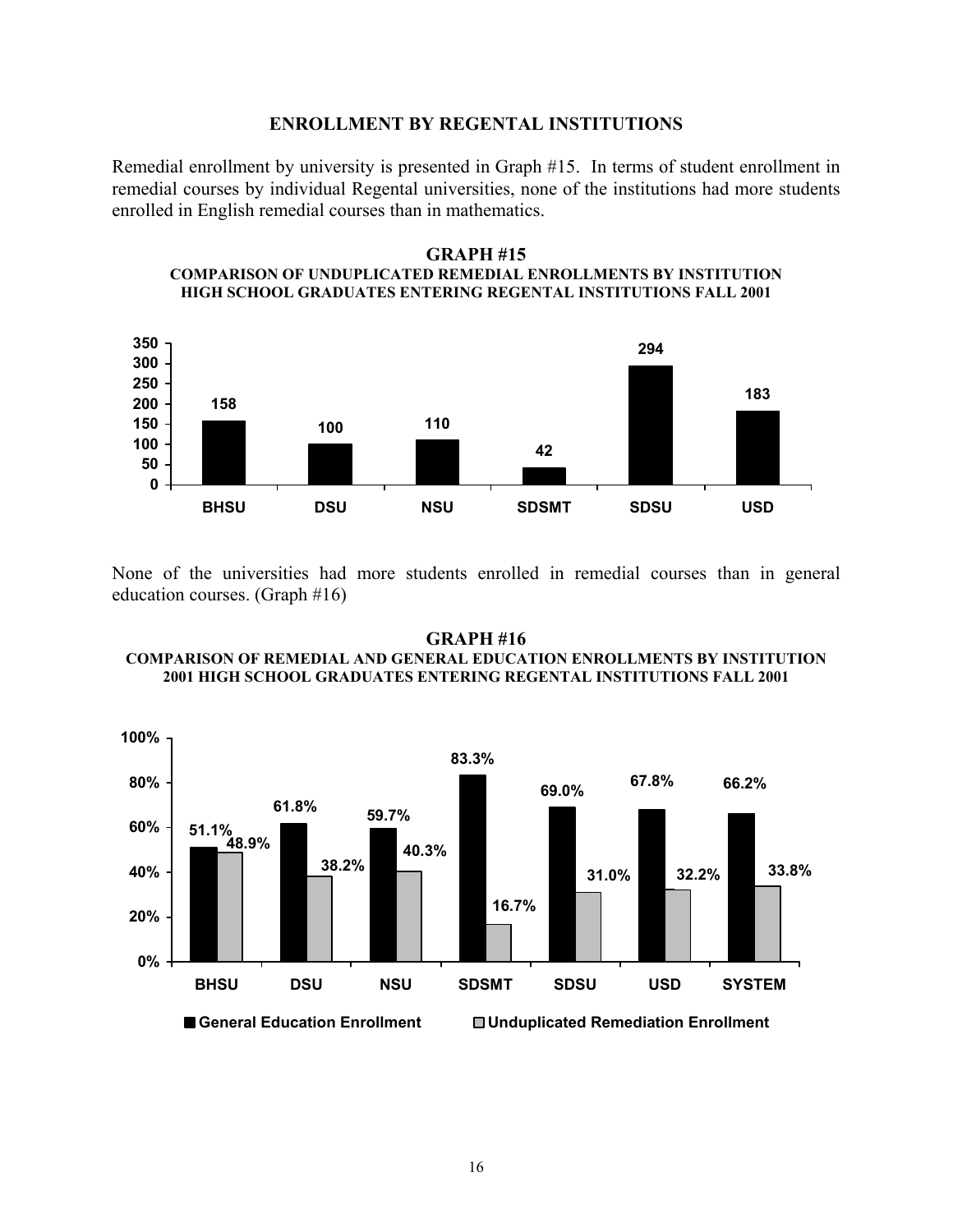### **ENROLLMENT BY REGENTAL INSTITUTIONS**

Remedial enrollment by university is presented in Graph #15. In terms of student enrollment in remedial courses by individual Regental universities, none of the institutions had more students enrolled in English remedial courses than in mathematics.

#### **GRAPH #15 COMPARISON OF UNDUPLICATED REMEDIAL ENROLLMENTS BY INSTITUTION HIGH SCHOOL GRADUATES ENTERING REGENTAL INSTITUTIONS FALL 2001**



None of the universities had more students enrolled in remedial courses than in general education courses. (Graph #16)

#### **GRAPH #16 COMPARISON OF REMEDIAL AND GENERAL EDUCATION ENROLLMENTS BY INSTITUTION 2001 HIGH SCHOOL GRADUATES ENTERING REGENTAL INSTITUTIONS FALL 2001**

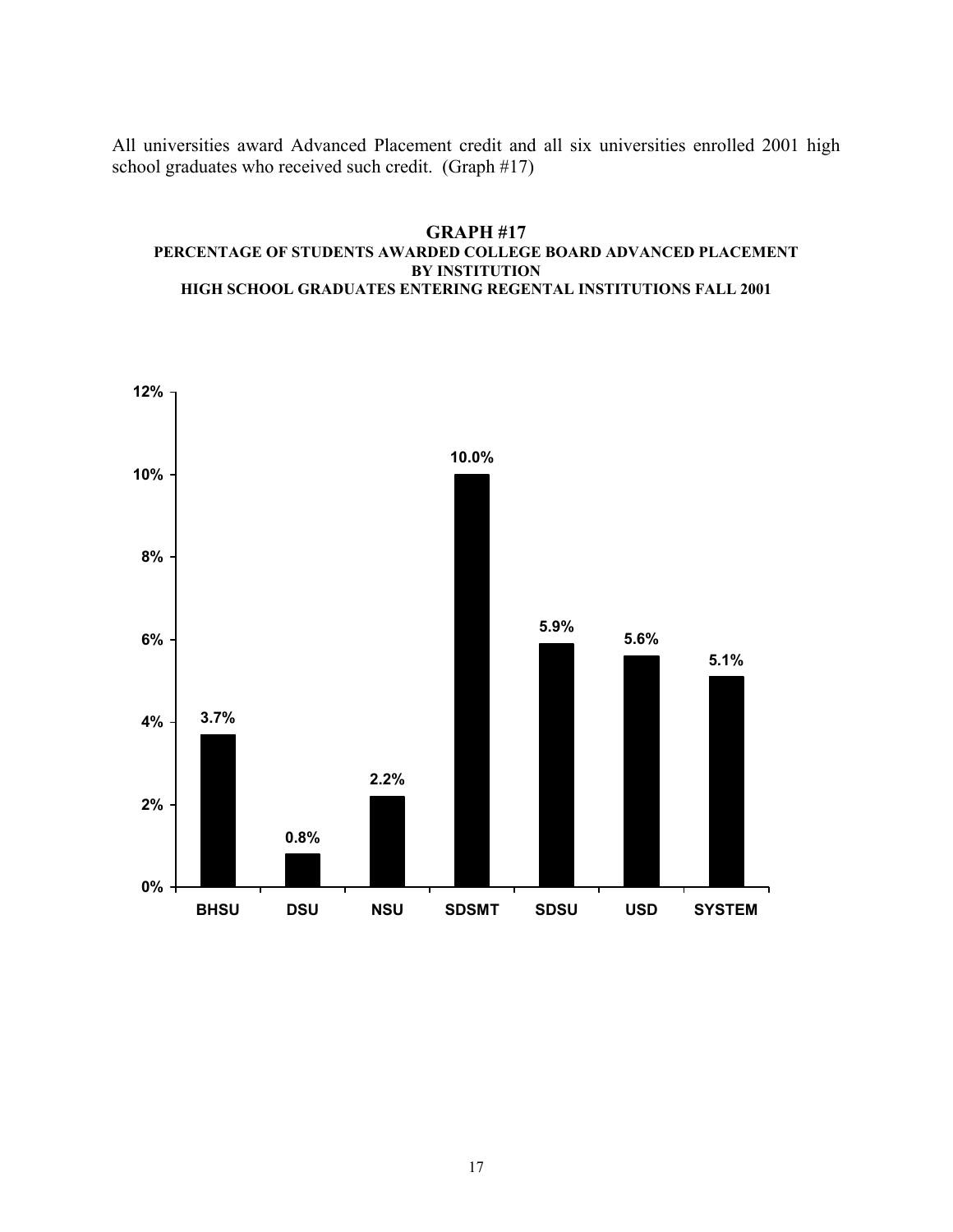All universities award Advanced Placement credit and all six universities enrolled 2001 high school graduates who received such credit. (Graph #17)

#### **GRAPH #17 PERCENTAGE OF STUDENTS AWARDED COLLEGE BOARD ADVANCED PLACEMENT BY INSTITUTION HIGH SCHOOL GRADUATES ENTERING REGENTAL INSTITUTIONS FALL 2001**

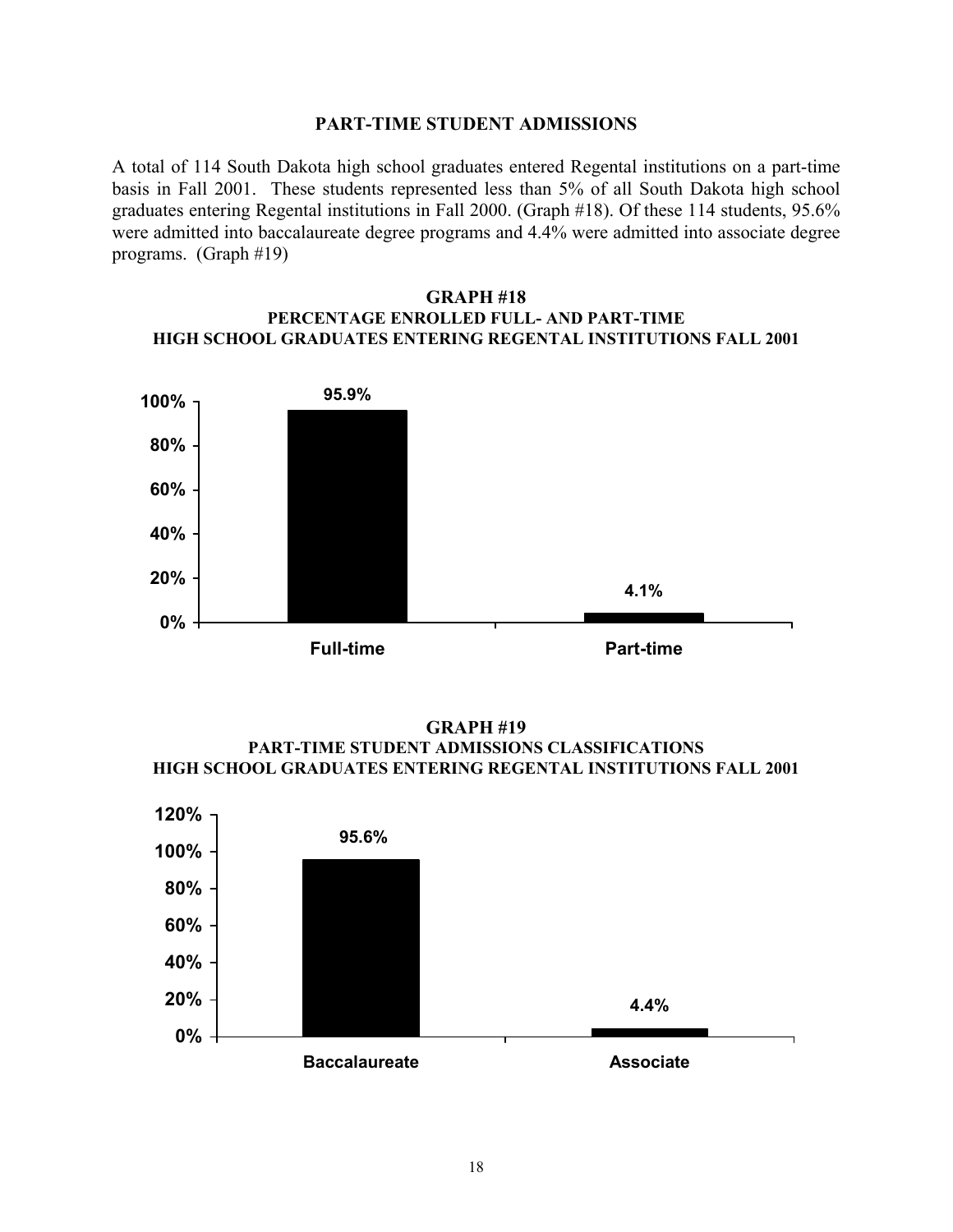## **PART-TIME STUDENT ADMISSIONS**

A total of 114 South Dakota high school graduates entered Regental institutions on a part-time basis in Fall 2001. These students represented less than 5% of all South Dakota high school graduates entering Regental institutions in Fall 2000. (Graph #18). Of these 114 students, 95.6% were admitted into baccalaureate degree programs and 4.4% were admitted into associate degree programs. (Graph #19)

#### **GRAPH #18 PERCENTAGE ENROLLED FULL- AND PART-TIME HIGH SCHOOL GRADUATES ENTERING REGENTAL INSTITUTIONS FALL 2001**